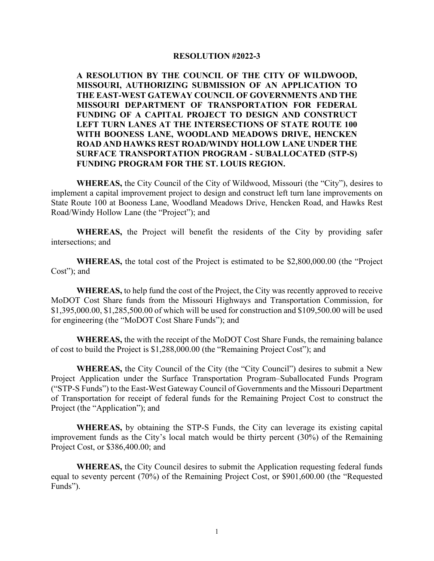## **RESOLUTION #2022-3**

**A RESOLUTION BY THE COUNCIL OF THE CITY OF WILDWOOD, MISSOURI, AUTHORIZING SUBMISSION OF AN APPLICATION TO THE EAST-WEST GATEWAY COUNCIL OF GOVERNMENTS AND THE MISSOURI DEPARTMENT OF TRANSPORTATION FOR FEDERAL FUNDING OF A CAPITAL PROJECT TO DESIGN AND CONSTRUCT LEFT TURN LANES AT THE INTERSECTIONS OF STATE ROUTE 100 WITH BOONESS LANE, WOODLAND MEADOWS DRIVE, HENCKEN ROAD AND HAWKS REST ROAD/WINDY HOLLOW LANE UNDER THE SURFACE TRANSPORTATION PROGRAM - SUBALLOCATED (STP-S) FUNDING PROGRAM FOR THE ST. LOUIS REGION.** 

**WHEREAS,** the City Council of the City of Wildwood, Missouri (the "City"), desires to implement a capital improvement project to design and construct left turn lane improvements on State Route 100 at Booness Lane, Woodland Meadows Drive, Hencken Road, and Hawks Rest Road/Windy Hollow Lane (the "Project"); and

**WHEREAS,** the Project will benefit the residents of the City by providing safer intersections; and

**WHEREAS,** the total cost of the Project is estimated to be \$2,800,000.00 (the "Project Cost"); and

**WHEREAS,** to help fund the cost of the Project, the City was recently approved to receive MoDOT Cost Share funds from the Missouri Highways and Transportation Commission, for \$1,395,000.00, \$1,285,500.00 of which will be used for construction and \$109,500.00 will be used for engineering (the "MoDOT Cost Share Funds"); and

**WHEREAS,** the with the receipt of the MoDOT Cost Share Funds, the remaining balance of cost to build the Project is \$1,288,000.00 (the "Remaining Project Cost"); and

**WHEREAS,** the City Council of the City (the "City Council") desires to submit a New Project Application under the Surface Transportation Program–Suballocated Funds Program ("STP-S Funds") to the East-West Gateway Council of Governments and the Missouri Department of Transportation for receipt of federal funds for the Remaining Project Cost to construct the Project (the "Application"); and

**WHEREAS,** by obtaining the STP-S Funds, the City can leverage its existing capital improvement funds as the City's local match would be thirty percent (30%) of the Remaining Project Cost, or \$386,400.00; and

**WHEREAS,** the City Council desires to submit the Application requesting federal funds equal to seventy percent (70%) of the Remaining Project Cost, or \$901,600.00 (the "Requested Funds").